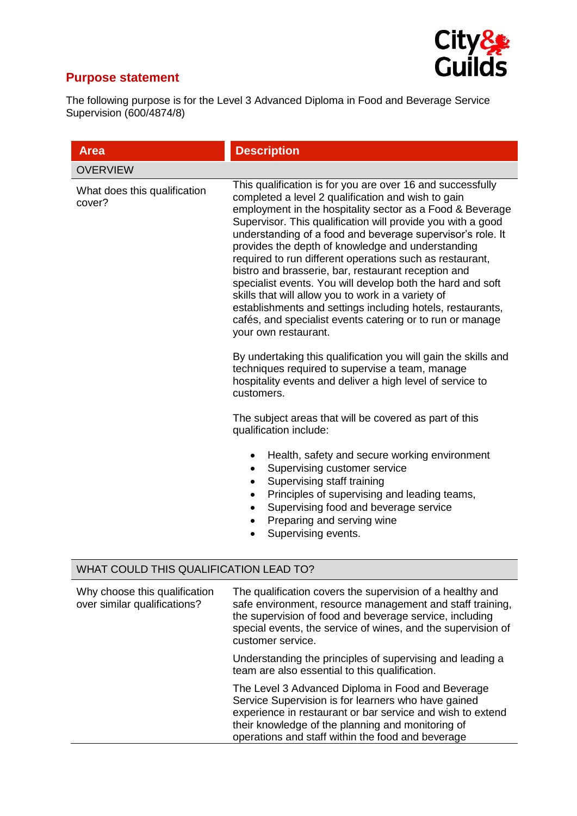

## **Purpose statement**

The following purpose is for the Level 3 Advanced Diploma in Food and Beverage Service Supervision (600/4874/8)

| <b>Area</b>                                                   | <b>Description</b>                                                                                                                                                                                                                                                                                                                                                                                                                                                                                                                                                                                                                                                                                                                                        |  |
|---------------------------------------------------------------|-----------------------------------------------------------------------------------------------------------------------------------------------------------------------------------------------------------------------------------------------------------------------------------------------------------------------------------------------------------------------------------------------------------------------------------------------------------------------------------------------------------------------------------------------------------------------------------------------------------------------------------------------------------------------------------------------------------------------------------------------------------|--|
| <b>OVERVIEW</b>                                               |                                                                                                                                                                                                                                                                                                                                                                                                                                                                                                                                                                                                                                                                                                                                                           |  |
| What does this qualification<br>cover?                        | This qualification is for you are over 16 and successfully<br>completed a level 2 qualification and wish to gain<br>employment in the hospitality sector as a Food & Beverage<br>Supervisor. This qualification will provide you with a good<br>understanding of a food and beverage supervisor's role. It<br>provides the depth of knowledge and understanding<br>required to run different operations such as restaurant,<br>bistro and brasserie, bar, restaurant reception and<br>specialist events. You will develop both the hard and soft<br>skills that will allow you to work in a variety of<br>establishments and settings including hotels, restaurants,<br>cafés, and specialist events catering or to run or manage<br>your own restaurant. |  |
|                                                               | By undertaking this qualification you will gain the skills and<br>techniques required to supervise a team, manage<br>hospitality events and deliver a high level of service to<br>customers.                                                                                                                                                                                                                                                                                                                                                                                                                                                                                                                                                              |  |
|                                                               | The subject areas that will be covered as part of this<br>qualification include:                                                                                                                                                                                                                                                                                                                                                                                                                                                                                                                                                                                                                                                                          |  |
|                                                               | Health, safety and secure working environment<br>$\bullet$<br>Supervising customer service<br>$\bullet$<br>Supervising staff training<br>٠<br>Principles of supervising and leading teams,<br>Supervising food and beverage service<br>$\bullet$<br>Preparing and serving wine<br>$\bullet$<br>Supervising events.                                                                                                                                                                                                                                                                                                                                                                                                                                        |  |
| WHAT COULD THIS QUALIFICATION LEAD TO?                        |                                                                                                                                                                                                                                                                                                                                                                                                                                                                                                                                                                                                                                                                                                                                                           |  |
| Why choose this qualification<br>over similar qualifications? | The qualification covers the supervision of a healthy and<br>safe environment, resource management and staff training,<br>the supervision of food and beverage service, including<br>special events, the service of wines, and the supervision of                                                                                                                                                                                                                                                                                                                                                                                                                                                                                                         |  |

customer service.

Understanding the principles of supervising and leading a team are also essential to this qualification.

The Level 3 Advanced Diploma in Food and Beverage Service Supervision is for learners who have gained experience in restaurant or bar service and wish to extend their knowledge of the planning and monitoring of operations and staff within the food and beverage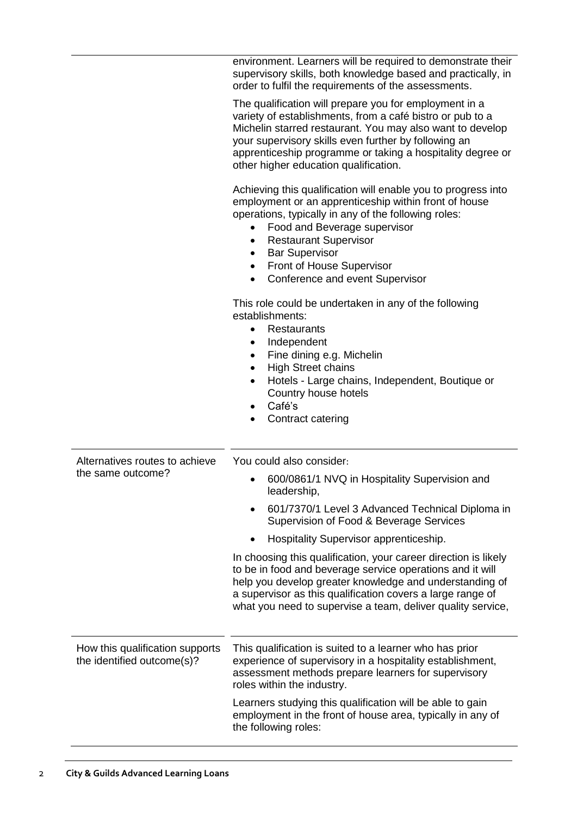|                                                               | environment. Learners will be required to demonstrate their<br>supervisory skills, both knowledge based and practically, in<br>order to fulfil the requirements of the assessments.                                                                                                                                                                                                 |
|---------------------------------------------------------------|-------------------------------------------------------------------------------------------------------------------------------------------------------------------------------------------------------------------------------------------------------------------------------------------------------------------------------------------------------------------------------------|
|                                                               | The qualification will prepare you for employment in a<br>variety of establishments, from a café bistro or pub to a<br>Michelin starred restaurant. You may also want to develop<br>your supervisory skills even further by following an<br>apprenticeship programme or taking a hospitality degree or<br>other higher education qualification.                                     |
|                                                               | Achieving this qualification will enable you to progress into<br>employment or an apprenticeship within front of house<br>operations, typically in any of the following roles:<br>Food and Beverage supervisor<br><b>Restaurant Supervisor</b><br>٠<br><b>Bar Supervisor</b><br>$\bullet$<br>Front of House Supervisor<br>$\bullet$<br>Conference and event Supervisor<br>$\bullet$ |
|                                                               | This role could be undertaken in any of the following<br>establishments:<br><b>Restaurants</b><br>$\bullet$<br>Independent<br>$\bullet$<br>Fine dining e.g. Michelin<br><b>High Street chains</b><br>$\bullet$<br>Hotels - Large chains, Independent, Boutique or<br>$\bullet$<br>Country house hotels<br>Café's<br>Contract catering                                               |
| Alternatives routes to achieve<br>the same outcome?           | You could also consider:                                                                                                                                                                                                                                                                                                                                                            |
|                                                               | 600/0861/1 NVQ in Hospitality Supervision and<br>leadership,                                                                                                                                                                                                                                                                                                                        |
|                                                               | 601/7370/1 Level 3 Advanced Technical Diploma in<br>Supervision of Food & Beverage Services                                                                                                                                                                                                                                                                                         |
|                                                               | Hospitality Supervisor apprenticeship.                                                                                                                                                                                                                                                                                                                                              |
|                                                               | In choosing this qualification, your career direction is likely<br>to be in food and beverage service operations and it will<br>help you develop greater knowledge and understanding of<br>a supervisor as this qualification covers a large range of<br>what you need to supervise a team, deliver quality service,                                                                |
| How this qualification supports<br>the identified outcome(s)? | This qualification is suited to a learner who has prior<br>experience of supervisory in a hospitality establishment,<br>assessment methods prepare learners for supervisory<br>roles within the industry.                                                                                                                                                                           |
|                                                               | Learners studying this qualification will be able to gain<br>employment in the front of house area, typically in any of<br>the following roles:                                                                                                                                                                                                                                     |